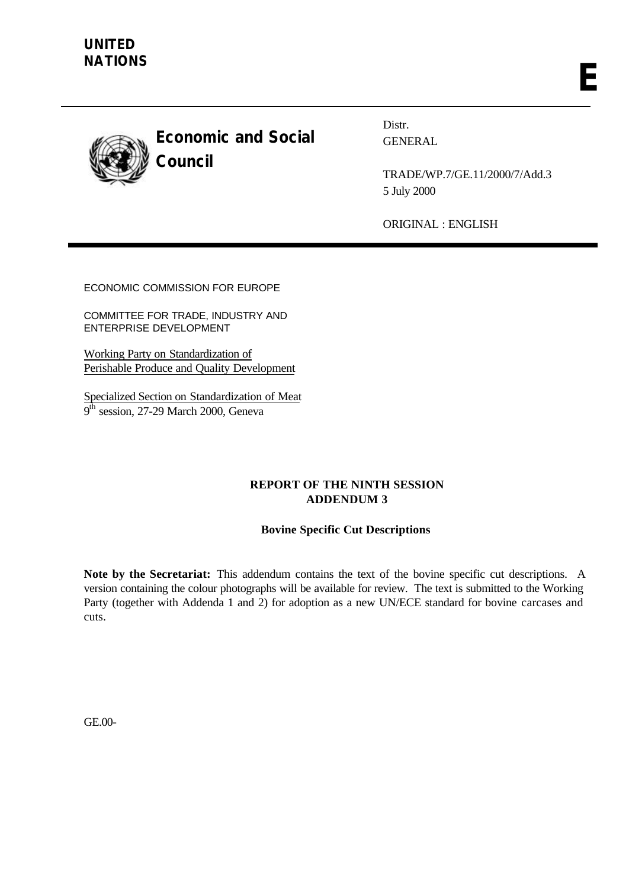

**Economic and Social Council**

Distr. GENERAL

TRADE/WP.7/GE.11/2000/7/Add.3 5 July 2000

ORIGINAL : ENGLISH

ECONOMIC COMMISSION FOR EUROPE

COMMITTEE FOR TRADE, INDUSTRY AND ENTERPRISE DEVELOPMENT

Working Party on Standardization of Perishable Produce and Quality Development

Specialized Section on Standardization of Meat  $9^{\bar{th}}$  session, 27-29 March 2000, Geneva

# **REPORT OF THE NINTH SESSION ADDENDUM 3**

# **Bovine Specific Cut Descriptions**

**Note by the Secretariat:** This addendum contains the text of the bovine specific cut descriptions. A version containing the colour photographs will be available for review. The text is submitted to the Working Party (together with Addenda 1 and 2) for adoption as a new UN/ECE standard for bovine carcases and cuts.

GE.00-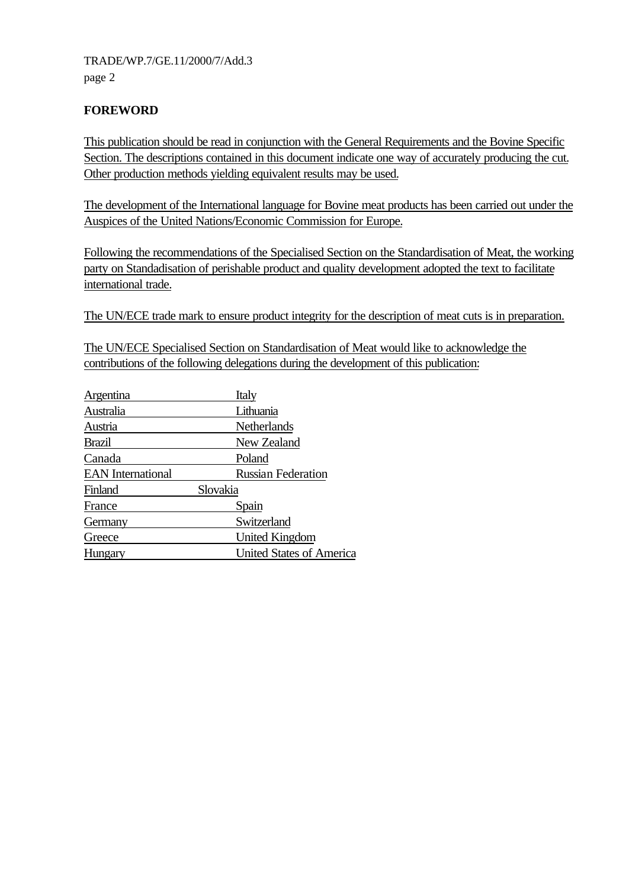# **FOREWORD**

This publication should be read in conjunction with the General Requirements and the Bovine Specific Section. The descriptions contained in this document indicate one way of accurately producing the cut. Other production methods yielding equivalent results may be used.

The development of the International language for Bovine meat products has been carried out under the Auspices of the United Nations/Economic Commission for Europe.

Following the recommendations of the Specialised Section on the Standardisation of Meat, the working party on Standadisation of perishable product and quality development adopted the text to facilitate international trade.

The UN/ECE trade mark to ensure product integrity for the description of meat cuts is in preparation.

The UN/ECE Specialised Section on Standardisation of Meat would like to acknowledge the contributions of the following delegations during the development of this publication:

| Argentina                | Italy                           |
|--------------------------|---------------------------------|
| Australia                | Lithuania                       |
| Austria                  | Netherlands                     |
| <b>Brazil</b>            | New Zealand                     |
| Canada                   | Poland                          |
| <b>EAN</b> International | <b>Russian Federation</b>       |
| Finland                  | Slovakia                        |
| France                   | Spain                           |
| Germany                  | Switzerland                     |
| Greece                   | United Kingdom                  |
| Hungary                  | <b>United States of America</b> |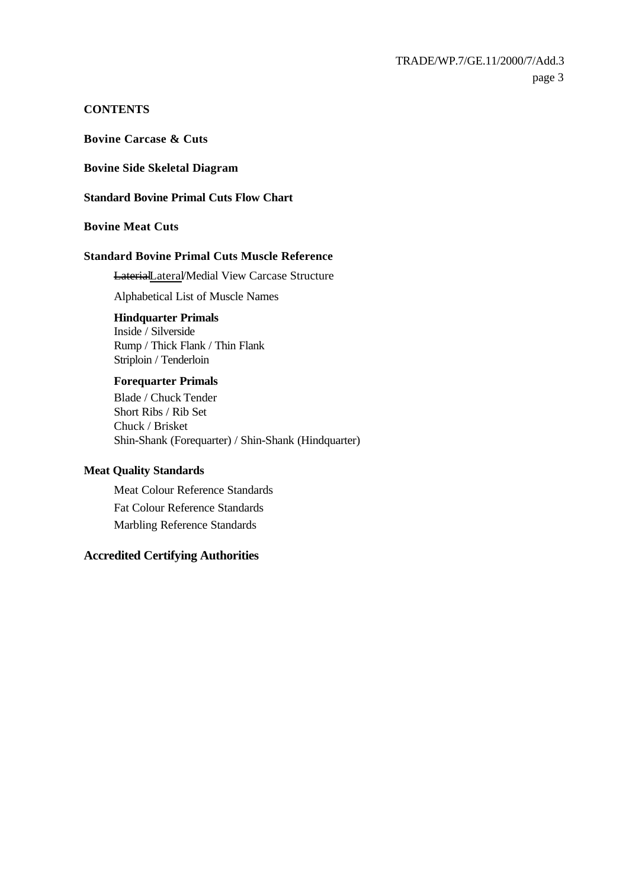# **CONTENTS**

**Bovine Carcase & Cuts** 

**Bovine Side Skeletal Diagram**

**Standard Bovine Primal Cuts Flow Chart**

**Bovine Meat Cuts**

## **Standard Bovine Primal Cuts Muscle Reference**

LaterialLateral/Medial View Carcase Structure

Alphabetical List of Muscle Names

## **Hindquarter Primals**

Inside / Silverside Rump / Thick Flank / Thin Flank Striploin / Tenderloin

#### **Forequarter Primals**

Blade / Chuck Tender Short Ribs / Rib Set Chuck / Brisket Shin-Shank (Forequarter) / Shin-Shank (Hindquarter)

#### **Meat Quality Standards**

Meat Colour Reference Standards Fat Colour Reference Standards Marbling Reference Standards

# **Accredited Certifying Authorities**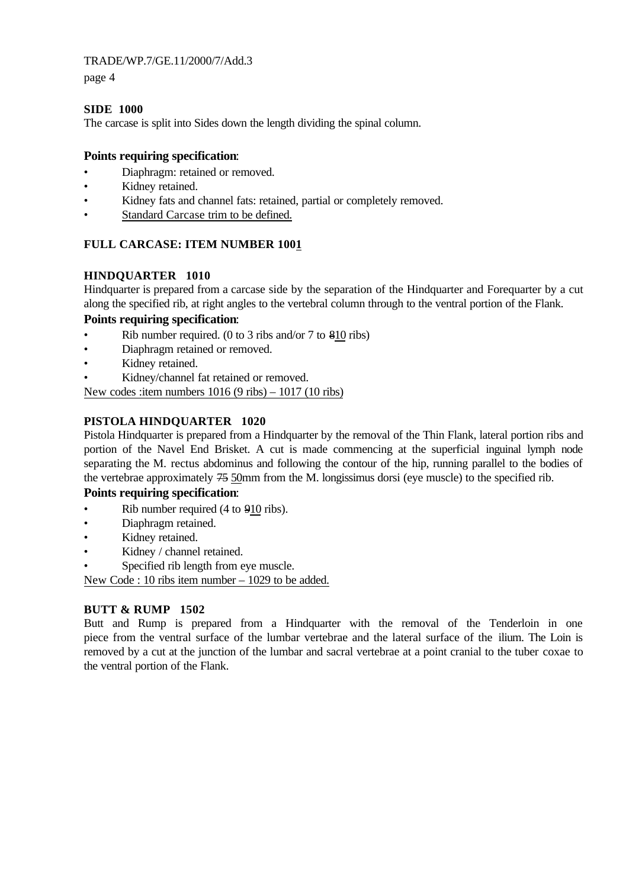page 4

## **SIDE 1000**

The carcase is split into Sides down the length dividing the spinal column.

# **Points requiring specification**:

- Diaphragm: retained or removed.
- Kidney retained.
- Kidney fats and channel fats: retained, partial or completely removed.
- Standard Carcase trim to be defined.

# FULL CARCASE: ITEM NUMBER 1001

# **HINDQUARTER 1010**

Hindquarter is prepared from a carcase side by the separation of the Hindquarter and Forequarter by a cut along the specified rib, at right angles to the vertebral column through to the ventral portion of the Flank.

# **Points requiring specification**:

- Rib number required. (0 to 3 ribs and/or 7 to 810 ribs)
- Diaphragm retained or removed.
- Kidney retained.
- Kidney/channel fat retained or removed.

New codes :item numbers 1016 (9 ribs) – 1017 (10 ribs)

# **PISTOLA HINDQUARTER 1020**

Pistola Hindquarter is prepared from a Hindquarter by the removal of the Thin Flank, lateral portion ribs and portion of the Navel End Brisket. A cut is made commencing at the superficial inguinal lymph node separating the M. rectus abdominus and following the contour of the hip, running parallel to the bodies of the vertebrae approximately 75 50mm from the M. longissimus dorsi (eye muscle) to the specified rib.

## **Points requiring specification**:

- Rib number required (4 to  $910$  ribs).
- Diaphragm retained.
- Kidney retained.
- Kidney / channel retained.
- Specified rib length from eye muscle.

New Code : 10 ribs item number – 1029 to be added.

## **BUTT & RUMP 1502**

Butt and Rump is prepared from a Hindquarter with the removal of the Tenderloin in one piece from the ventral surface of the lumbar vertebrae and the lateral surface of the ilium. The Loin is removed by a cut at the junction of the lumbar and sacral vertebrae at a point cranial to the tuber coxae to the ventral portion of the Flank.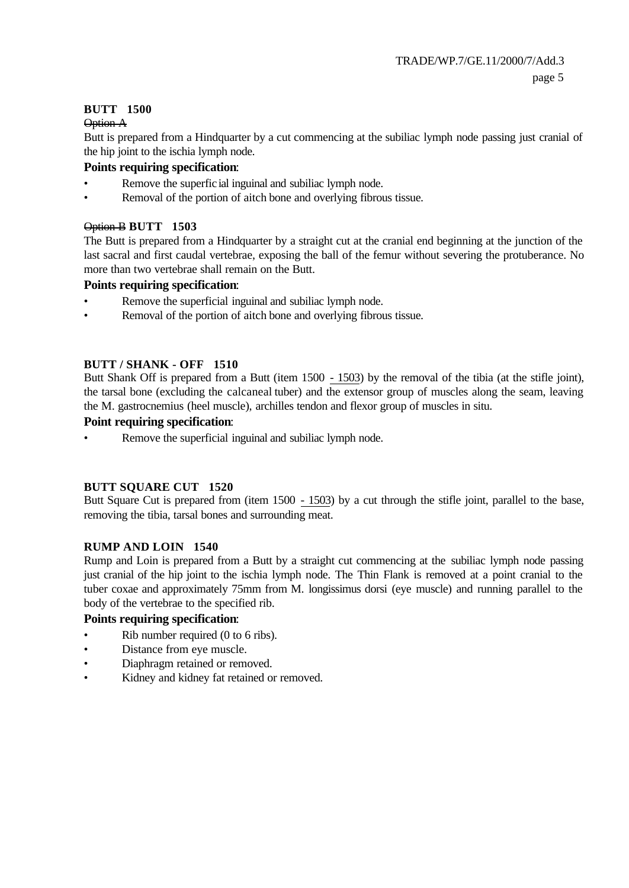# **BUTT 1500**

#### Option A

Butt is prepared from a Hindquarter by a cut commencing at the subiliac lymph node passing just cranial of the hip joint to the ischia lymph node.

# **Points requiring specification**:

- Remove the superfic ial inguinal and subiliac lymph node.
- Removal of the portion of aitch bone and overlying fibrous tissue.

## Option B **BUTT 1503**

The Butt is prepared from a Hindquarter by a straight cut at the cranial end beginning at the junction of the last sacral and first caudal vertebrae, exposing the ball of the femur without severing the protuberance. No more than two vertebrae shall remain on the Butt.

# **Points requiring specification**:

- Remove the superficial inguinal and subiliac lymph node.
- Removal of the portion of aitch bone and overlying fibrous tissue.

# **BUTT / SHANK - OFF 1510**

Butt Shank Off is prepared from a Butt (item 1500 - 1503) by the removal of the tibia (at the stifle joint), the tarsal bone (excluding the calcaneal tuber) and the extensor group of muscles along the seam, leaving the M. gastrocnemius (heel muscle), archilles tendon and flexor group of muscles in situ.

## **Point requiring specification**:

Remove the superficial inguinal and subiliac lymph node.

# **BUTT SQUARE CUT 1520**

Butt Square Cut is prepared from (item 1500 - 1503) by a cut through the stifle joint, parallel to the base, removing the tibia, tarsal bones and surrounding meat.

## **RUMP AND LOIN 1540**

Rump and Loin is prepared from a Butt by a straight cut commencing at the subiliac lymph node passing just cranial of the hip joint to the ischia lymph node. The Thin Flank is removed at a point cranial to the tuber coxae and approximately 75mm from M. longissimus dorsi (eye muscle) and running parallel to the body of the vertebrae to the specified rib.

## **Points requiring specification**:

- Rib number required (0 to 6 ribs).
- Distance from eye muscle.
- Diaphragm retained or removed.
- Kidney and kidney fat retained or removed.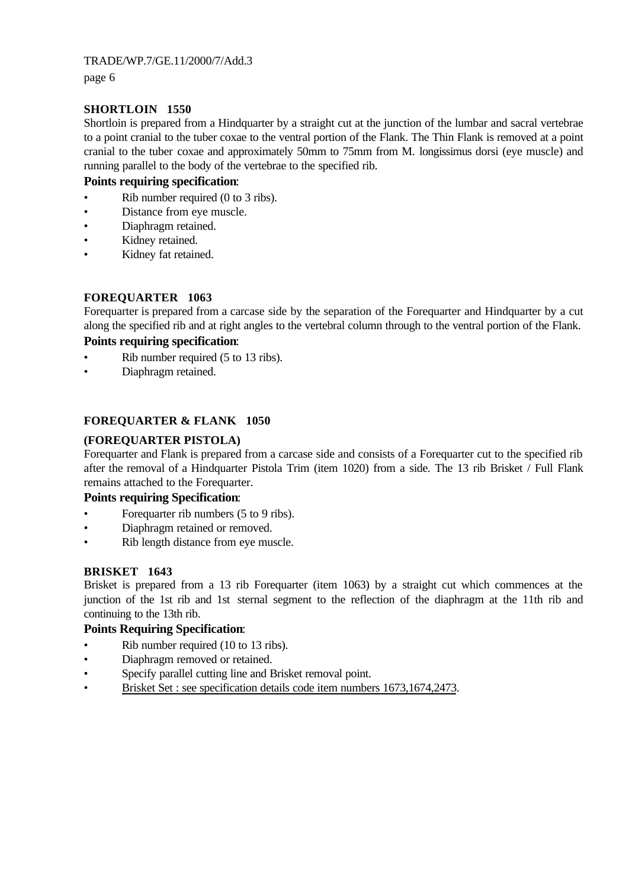page 6

# **SHORTLOIN 1550**

Shortloin is prepared from a Hindquarter by a straight cut at the junction of the lumbar and sacral vertebrae to a point cranial to the tuber coxae to the ventral portion of the Flank. The Thin Flank is removed at a point cranial to the tuber coxae and approximately 50mm to 75mm from M. longissimus dorsi (eye muscle) and running parallel to the body of the vertebrae to the specified rib.

## **Points requiring specification**:

- Rib number required (0 to 3 ribs).
- Distance from eye muscle.
- Diaphragm retained.
- Kidney retained.
- Kidney fat retained.

# **FOREQUARTER 1063**

Forequarter is prepared from a carcase side by the separation of the Forequarter and Hindquarter by a cut along the specified rib and at right angles to the vertebral column through to the ventral portion of the Flank.

## **Points requiring specification**:

- Rib number required (5 to 13 ribs).
- Diaphragm retained.

# **FOREQUARTER & FLANK 1050**

## **(FOREQUARTER PISTOLA)**

Forequarter and Flank is prepared from a carcase side and consists of a Forequarter cut to the specified rib after the removal of a Hindquarter Pistola Trim (item 1020) from a side. The 13 rib Brisket / Full Flank remains attached to the Forequarter.

## **Points requiring Specification**:

- Forequarter rib numbers (5 to 9 ribs).
- Diaphragm retained or removed.
- Rib length distance from eye muscle.

## **BRISKET 1643**

Brisket is prepared from a 13 rib Forequarter (item 1063) by a straight cut which commences at the junction of the 1st rib and 1st sternal segment to the reflection of the diaphragm at the 11th rib and continuing to the 13th rib.

## **Points Requiring Specification**:

- Rib number required (10 to 13 ribs).
- Diaphragm removed or retained.
- Specify parallel cutting line and Brisket removal point.
- Brisket Set : see specification details code item numbers 1673,1674,2473.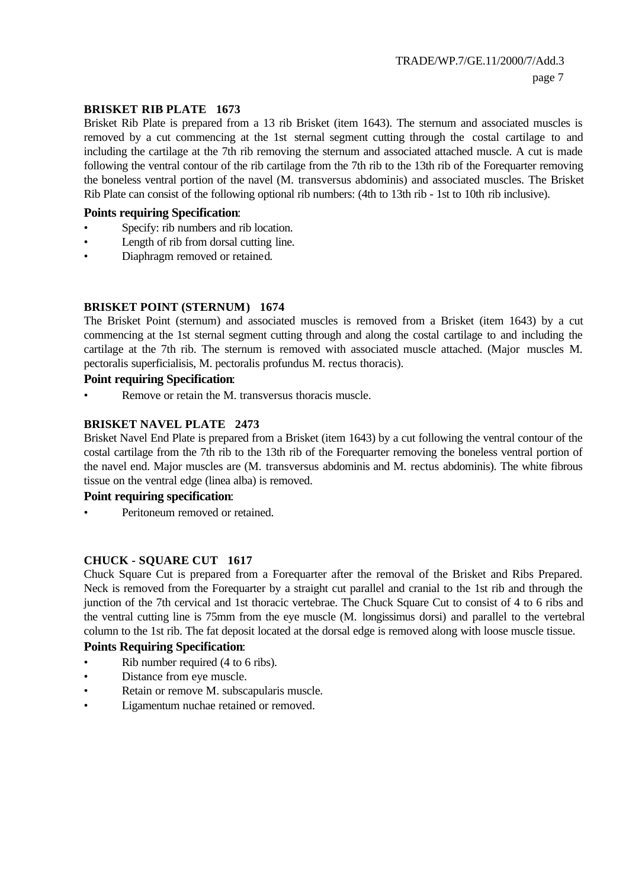#### **BRISKET RIB PLATE 1673**

Brisket Rib Plate is prepared from a 13 rib Brisket (item 1643). The sternum and associated muscles is removed by a cut commencing at the 1st sternal segment cutting through the costal cartilage to and including the cartilage at the 7th rib removing the sternum and associated attached muscle. A cut is made following the ventral contour of the rib cartilage from the 7th rib to the 13th rib of the Forequarter removing the boneless ventral portion of the navel (M. transversus abdominis) and associated muscles. The Brisket Rib Plate can consist of the following optional rib numbers: (4th to 13th rib - 1st to 10th rib inclusive).

#### **Points requiring Specification**:

- Specify: rib numbers and rib location.
- Length of rib from dorsal cutting line.
- Diaphragm removed or retained.

## **BRISKET POINT (STERNUM) 1674**

The Brisket Point (sternum) and associated muscles is removed from a Brisket (item 1643) by a cut commencing at the 1st sternal segment cutting through and along the costal cartilage to and including the cartilage at the 7th rib. The sternum is removed with associated muscle attached. (Major muscles M. pectoralis superficialisis, M. pectoralis profundus M. rectus thoracis).

## **Point requiring Specification**:

Remove or retain the M. transversus thoracis muscle.

## **BRISKET NAVEL PLATE 2473**

Brisket Navel End Plate is prepared from a Brisket (item 1643) by a cut following the ventral contour of the costal cartilage from the 7th rib to the 13th rib of the Forequarter removing the boneless ventral portion of the navel end. Major muscles are (M. transversus abdominis and M. rectus abdominis). The white fibrous tissue on the ventral edge (linea alba) is removed.

#### **Point requiring specification**:

Peritoneum removed or retained.

## **CHUCK - SQUARE CUT 1617**

Chuck Square Cut is prepared from a Forequarter after the removal of the Brisket and Ribs Prepared. Neck is removed from the Forequarter by a straight cut parallel and cranial to the 1st rib and through the junction of the 7th cervical and 1st thoracic vertebrae. The Chuck Square Cut to consist of 4 to 6 ribs and the ventral cutting line is 75mm from the eye muscle (M. longissimus dorsi) and parallel to the vertebral column to the 1st rib. The fat deposit located at the dorsal edge is removed along with loose muscle tissue.

## **Points Requiring Specification**:

- Rib number required (4 to 6 ribs).
- Distance from eye muscle.
- Retain or remove M. subscapularis muscle.
- Ligamentum nuchae retained or removed.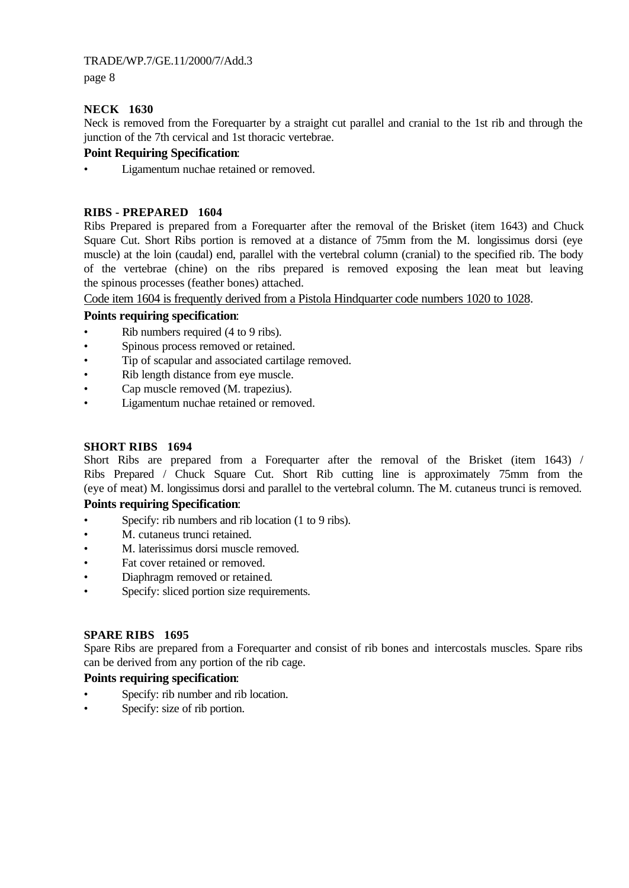page 8

# **NECK 1630**

Neck is removed from the Forequarter by a straight cut parallel and cranial to the 1st rib and through the junction of the 7th cervical and 1st thoracic vertebrae.

# **Point Requiring Specification**:

Ligamentum nuchae retained or removed.

## **RIBS - PREPARED 1604**

Ribs Prepared is prepared from a Forequarter after the removal of the Brisket (item 1643) and Chuck Square Cut. Short Ribs portion is removed at a distance of 75mm from the M. longissimus dorsi (eye muscle) at the loin (caudal) end, parallel with the vertebral column (cranial) to the specified rib. The body of the vertebrae (chine) on the ribs prepared is removed exposing the lean meat but leaving the spinous processes (feather bones) attached.

Code item 1604 is frequently derived from a Pistola Hindquarter code numbers 1020 to 1028.

# **Points requiring specification**:

- Rib numbers required (4 to 9 ribs).
- Spinous process removed or retained.
- Tip of scapular and associated cartilage removed.
- Rib length distance from eye muscle.
- Cap muscle removed (M. trapezius).
- Ligamentum nuchae retained or removed.

# **SHORT RIBS 1694**

Short Ribs are prepared from a Forequarter after the removal of the Brisket (item 1643) / Ribs Prepared / Chuck Square Cut. Short Rib cutting line is approximately 75mm from the (eye of meat) M. longissimus dorsi and parallel to the vertebral column. The M. cutaneus trunci is removed.

## **Points requiring Specification**:

- Specify: rib numbers and rib location (1 to 9 ribs).
- M. cutaneus trunci retained.
- M. laterissimus dorsi muscle removed.
- Fat cover retained or removed.
- Diaphragm removed or retained.
- Specify: sliced portion size requirements.

## **SPARE RIBS 1695**

Spare Ribs are prepared from a Forequarter and consist of rib bones and intercostals muscles. Spare ribs can be derived from any portion of the rib cage.

# **Points requiring specification**:

- Specify: rib number and rib location.
- Specify: size of rib portion.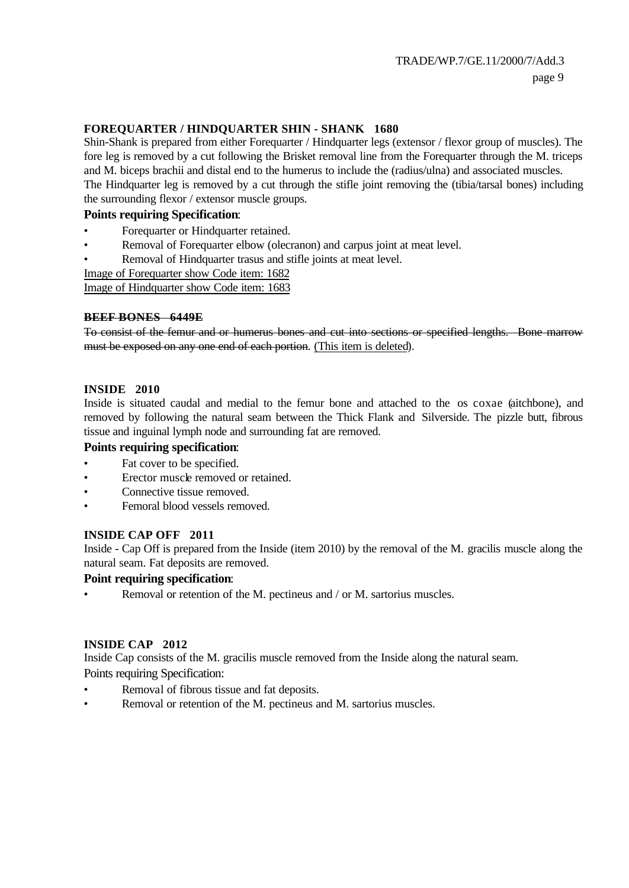# **FOREQUARTER / HINDQUARTER SHIN - SHANK 1680**

Shin-Shank is prepared from either Forequarter / Hindquarter legs (extensor / flexor group of muscles). The fore leg is removed by a cut following the Brisket removal line from the Forequarter through the M. triceps and M. biceps brachii and distal end to the humerus to include the (radius/ulna) and associated muscles. The Hindquarter leg is removed by a cut through the stifle joint removing the (tibia/tarsal bones) including the surrounding flexor / extensor muscle groups.

## **Points requiring Specification**:

- Forequarter or Hindquarter retained.
- Removal of Forequarter elbow (olecranon) and carpus joint at meat level.
- Removal of Hindquarter trasus and stifle joints at meat level.
- Image of Forequarter show Code item: 1682

Image of Hindquarter show Code item: 1683

## **BEEF BONES 6449E**

To consist of the femur and or humerus bones and cut into sections or specified lengths. Bone marrow must be exposed on any one end of each portion. (This item is deleted).

## **INSIDE 2010**

Inside is situated caudal and medial to the femur bone and attached to the os coxae (aitchbone), and removed by following the natural seam between the Thick Flank and Silverside. The pizzle butt, fibrous tissue and inguinal lymph node and surrounding fat are removed.

#### **Points requiring specification**:

- Fat cover to be specified.
- Erector muscle removed or retained.
- Connective tissue removed.
- Femoral blood vessels removed.

## **INSIDE CAP OFF 2011**

Inside - Cap Off is prepared from the Inside (item 2010) by the removal of the M. gracilis muscle along the natural seam. Fat deposits are removed.

## **Point requiring specification**:

• Removal or retention of the M. pectineus and / or M. sartorius muscles.

#### **INSIDE CAP 2012**

Inside Cap consists of the M. gracilis muscle removed from the Inside along the natural seam. Points requiring Specification:

- Removal of fibrous tissue and fat deposits.
- Removal or retention of the M. pectineus and M. sartorius muscles.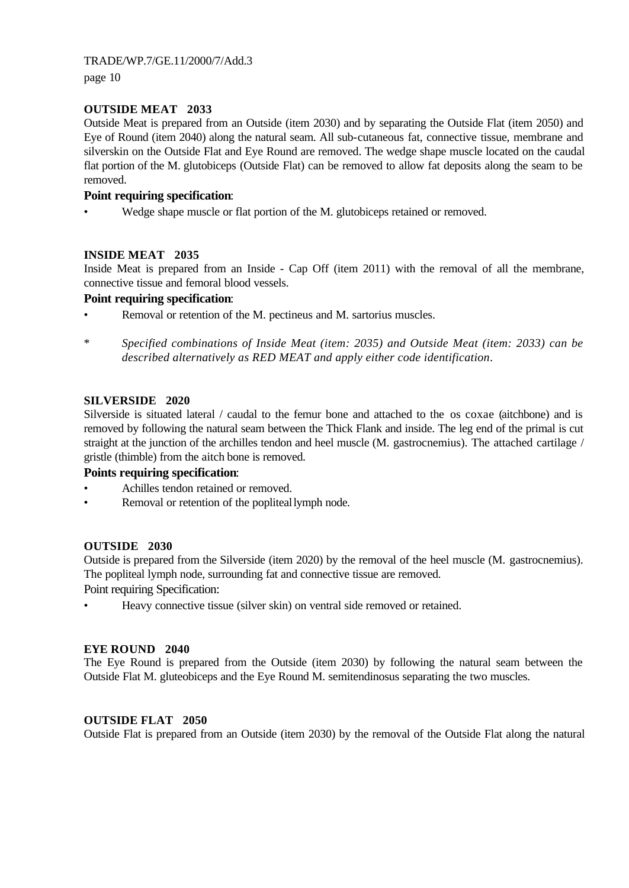page 10

## **OUTSIDE MEAT 2033**

Outside Meat is prepared from an Outside (item 2030) and by separating the Outside Flat (item 2050) and Eye of Round (item 2040) along the natural seam. All sub-cutaneous fat, connective tissue, membrane and silverskin on the Outside Flat and Eye Round are removed. The wedge shape muscle located on the caudal flat portion of the M. glutobiceps (Outside Flat) can be removed to allow fat deposits along the seam to be removed.

# **Point requiring specification**:

Wedge shape muscle or flat portion of the M. glutobiceps retained or removed.

# **INSIDE MEAT 2035**

Inside Meat is prepared from an Inside - Cap Off (item 2011) with the removal of all the membrane, connective tissue and femoral blood vessels.

## **Point requiring specification**:

- Removal or retention of the M. pectineus and M. sartorius muscles.
- \* *Specified combinations of Inside Meat (item: 2035) and Outside Meat (item: 2033) can be described alternatively as RED MEAT and apply either code identification*.

# **SILVERSIDE 2020**

Silverside is situated lateral / caudal to the femur bone and attached to the os coxae (aitchbone) and is removed by following the natural seam between the Thick Flank and inside. The leg end of the primal is cut straight at the junction of the archilles tendon and heel muscle (M. gastrocnemius). The attached cartilage / gristle (thimble) from the aitch bone is removed.

## **Points requiring specification**:

- Achilles tendon retained or removed.
- Removal or retention of the popliteal lymph node.

## **OUTSIDE 2030**

Outside is prepared from the Silverside (item 2020) by the removal of the heel muscle (M. gastrocnemius). The popliteal lymph node, surrounding fat and connective tissue are removed.

Point requiring Specification:

• Heavy connective tissue (silver skin) on ventral side removed or retained.

## **EYE ROUND 2040**

The Eye Round is prepared from the Outside (item 2030) by following the natural seam between the Outside Flat M. gluteobiceps and the Eye Round M. semitendinosus separating the two muscles.

## **OUTSIDE FLAT 2050**

Outside Flat is prepared from an Outside (item 2030) by the removal of the Outside Flat along the natural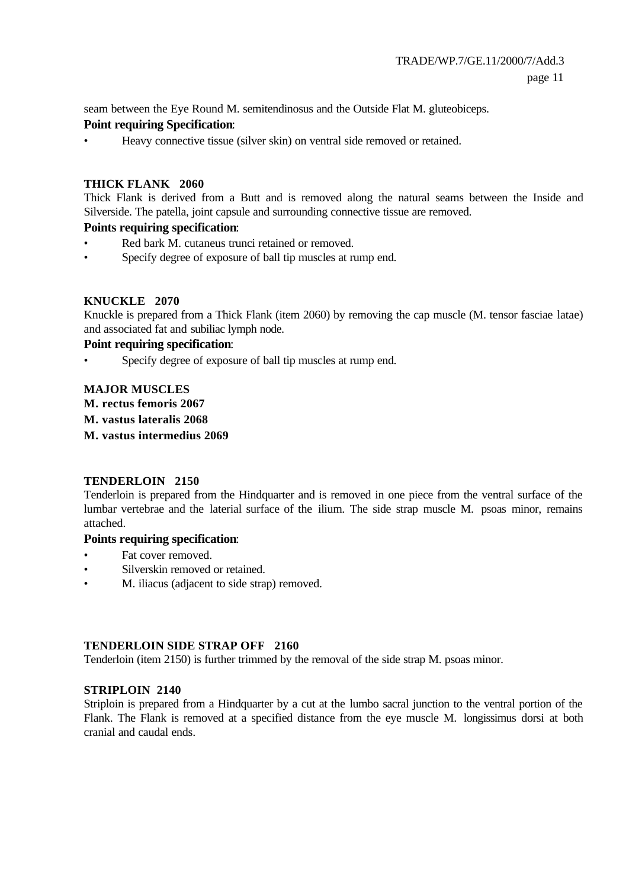seam between the Eye Round M. semitendinosus and the Outside Flat M. gluteobiceps. **Point requiring Specification**:

• Heavy connective tissue (silver skin) on ventral side removed or retained.

#### **THICK FLANK 2060**

Thick Flank is derived from a Butt and is removed along the natural seams between the Inside and Silverside. The patella, joint capsule and surrounding connective tissue are removed.

## **Points requiring specification**:

- Red bark M. cutaneus trunci retained or removed.
- Specify degree of exposure of ball tip muscles at rump end.

#### **KNUCKLE 2070**

Knuckle is prepared from a Thick Flank (item 2060) by removing the cap muscle (M. tensor fasciae latae) and associated fat and subiliac lymph node.

#### **Point requiring specification**:

• Specify degree of exposure of ball tip muscles at rump end.

## **MAJOR MUSCLES**

- **M. rectus femoris 2067**
- **M. vastus lateralis 2068**
- **M. vastus intermedius 2069**

#### **TENDERLOIN 2150**

Tenderloin is prepared from the Hindquarter and is removed in one piece from the ventral surface of the lumbar vertebrae and the laterial surface of the ilium. The side strap muscle M. psoas minor, remains attached.

#### **Points requiring specification**:

- Fat cover removed.
- Silverskin removed or retained.
- M. iliacus (adjacent to side strap) removed.

#### **TENDERLOIN SIDE STRAP OFF 2160**

Tenderloin (item 2150) is further trimmed by the removal of the side strap M. psoas minor.

#### **STRIPLOIN 2140**

Striploin is prepared from a Hindquarter by a cut at the lumbo sacral junction to the ventral portion of the Flank. The Flank is removed at a specified distance from the eye muscle M. longissimus dorsi at both cranial and caudal ends.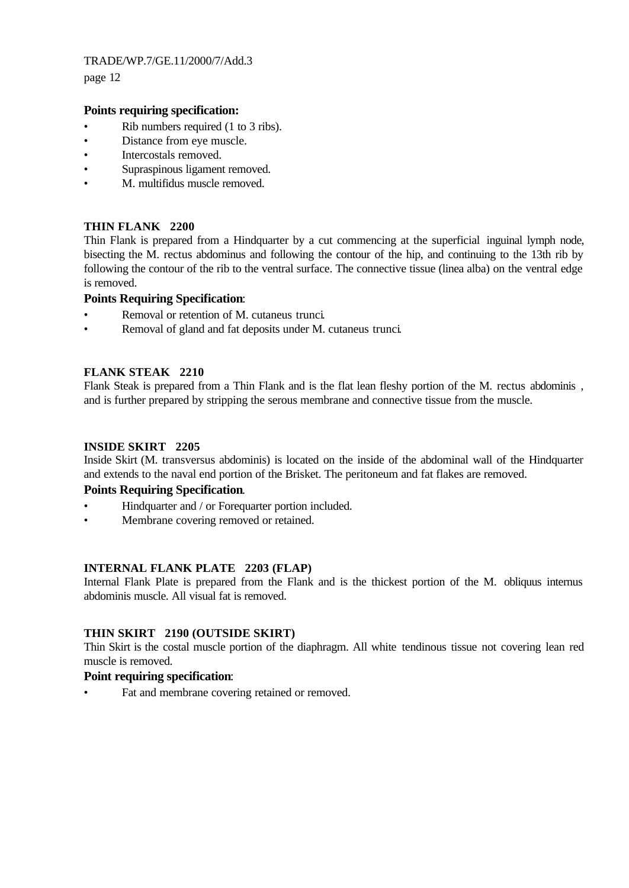page 12

## **Points requiring specification:**

- Rib numbers required (1 to 3 ribs).
- Distance from eye muscle.
- Intercostals removed.
- Supraspinous ligament removed.
- M. multifidus muscle removed.

## **THIN FLANK 2200**

Thin Flank is prepared from a Hindquarter by a cut commencing at the superficial inguinal lymph node, bisecting the M. rectus abdominus and following the contour of the hip, and continuing to the 13th rib by following the contour of the rib to the ventral surface. The connective tissue (linea alba) on the ventral edge is removed.

## **Points Requiring Specification**:

- Removal or retention of M. cutaneus trunci.
- Removal of gland and fat deposits under M. cutaneus trunci.

## **FLANK STEAK 2210**

Flank Steak is prepared from a Thin Flank and is the flat lean fleshy portion of the M. rectus abdominis , and is further prepared by stripping the serous membrane and connective tissue from the muscle.

#### **INSIDE SKIRT 2205**

Inside Skirt (M. transversus abdominis) is located on the inside of the abdominal wall of the Hindquarter and extends to the naval end portion of the Brisket. The peritoneum and fat flakes are removed.

## **Points Requiring Specification**.

- Hindquarter and / or Forequarter portion included.
- Membrane covering removed or retained.

## **INTERNAL FLANK PLATE 2203 (FLAP)**

Internal Flank Plate is prepared from the Flank and is the thickest portion of the M. obliquus internus abdominis muscle. All visual fat is removed.

## **THIN SKIRT 2190 (OUTSIDE SKIRT)**

Thin Skirt is the costal muscle portion of the diaphragm. All white tendinous tissue not covering lean red muscle is removed.

#### **Point requiring specification**:

Fat and membrane covering retained or removed.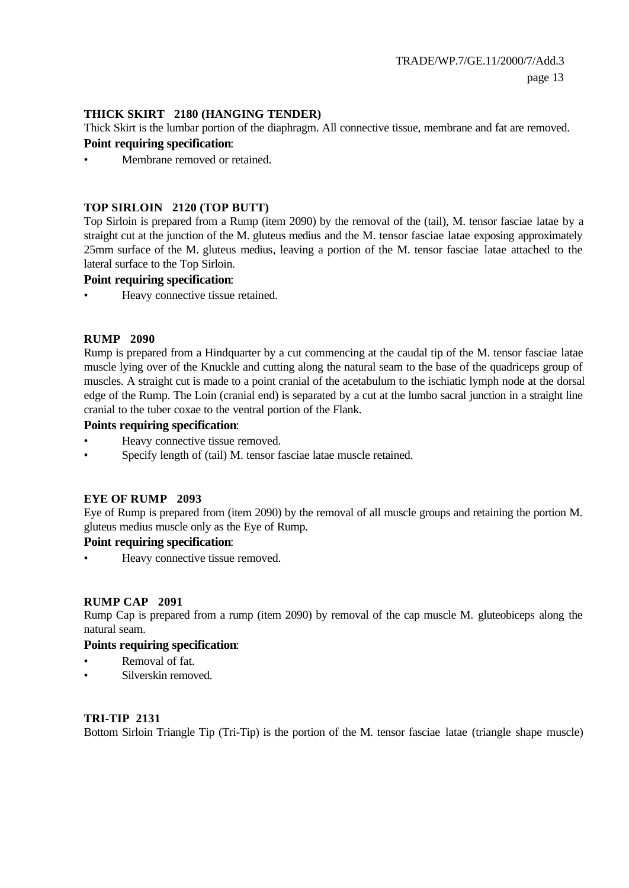#### **THICK SKIRT 2180 (HANGING TENDER)**

Thick Skirt is the lumbar portion of the diaphragm. All connective tissue, membrane and fat are removed.

#### **Point requiring specification**:

Membrane removed or retained.

#### **TOP SIRLOIN 2120 (TOP BUTT)**

Top Sirloin is prepared from a Rump (item 2090) by the removal of the (tail), M. tensor fasciae latae by a straight cut at the junction of the M. gluteus medius and the M. tensor fasciae latae exposing approximately 25mm surface of the M. gluteus medius, leaving a portion of the M. tensor fasciae latae attached to the lateral surface to the Top Sirloin.

#### **Point requiring specification**:

Heavy connective tissue retained.

#### **RUMP 2090**

Rump is prepared from a Hindquarter by a cut commencing at the caudal tip of the M. tensor fasciae latae muscle lying over of the Knuckle and cutting along the natural seam to the base of the quadriceps group of muscles. A straight cut is made to a point cranial of the acetabulum to the ischiatic lymph node at the dorsal edge of the Rump. The Loin (cranial end) is separated by a cut at the lumbo sacral junction in a straight line cranial to the tuber coxae to the ventral portion of the Flank.

#### **Points requiring specification**:

- Heavy connective tissue removed.
- Specify length of (tail) M. tensor fasciae latae muscle retained.

## **EYE OF RUMP 2093**

Eye of Rump is prepared from (item 2090) by the removal of all muscle groups and retaining the portion M. gluteus medius muscle only as the Eye of Rump.

## **Point requiring specification**:

Heavy connective tissue removed.

#### **RUMP CAP 2091**

Rump Cap is prepared from a rump (item 2090) by removal of the cap muscle M. gluteobiceps along the natural seam.

#### **Points requiring specification**:

- Removal of fat.
- Silverskin removed.

#### **TRI-TIP 2131**

Bottom Sirloin Triangle Tip (Tri-Tip) is the portion of the M. tensor fasciae latae (triangle shape muscle)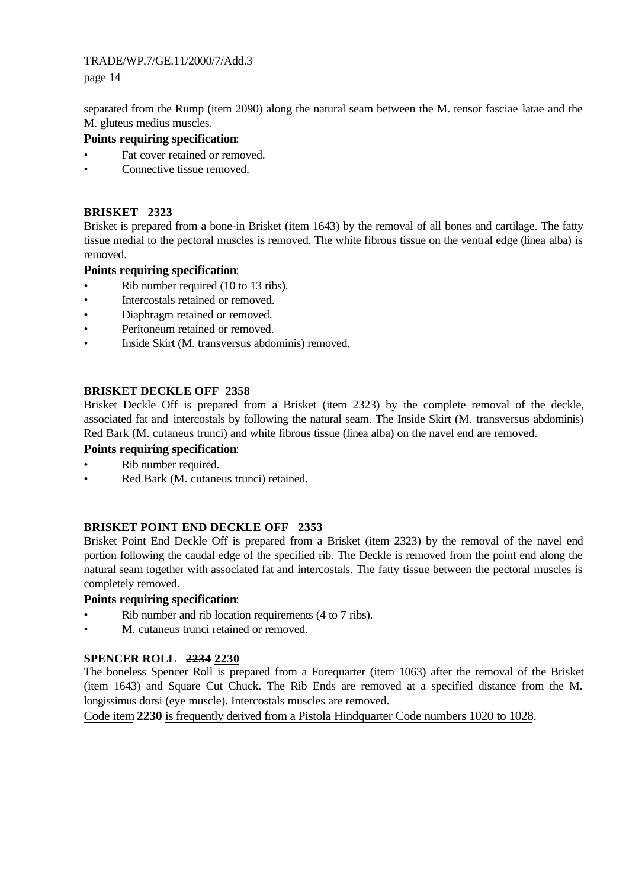page 14

separated from the Rump (item 2090) along the natural seam between the M. tensor fasciae latae and the M. gluteus medius muscles.

# **Points requiring specification**:

- Fat cover retained or removed.
- Connective tissue removed.

## **BRISKET 2323**

Brisket is prepared from a bone-in Brisket (item 1643) by the removal of all bones and cartilage. The fatty tissue medial to the pectoral muscles is removed. The white fibrous tissue on the ventral edge (linea alba) is removed.

## **Points requiring specification**:

- Rib number required (10 to 13 ribs).
- Intercostals retained or removed.
- Diaphragm retained or removed.
- Peritoneum retained or removed.
- Inside Skirt (M. transversus abdominis) removed.

## **BRISKET DECKLE OFF 2358**

Brisket Deckle Off is prepared from a Brisket (item 2323) by the complete removal of the deckle, associated fat and intercostals by following the natural seam. The Inside Skirt (M. transversus abdominis) Red Bark (M. cutaneus trunci) and white fibrous tissue (linea alba) on the navel end are removed.

## **Points requiring specification**:

- Rib number required.
- Red Bark (M. cutaneus trunci) retained.

## **BRISKET POINT END DECKLE OFF 2353**

Brisket Point End Deckle Off is prepared from a Brisket (item 2323) by the removal of the navel end portion following the caudal edge of the specified rib. The Deckle is removed from the point end along the natural seam together with associated fat and intercostals. The fatty tissue between the pectoral muscles is completely removed.

## **Points requiring specification**:

- Rib number and rib location requirements (4 to 7 ribs).
- M. cutaneus trunci retained or removed.

# **SPENCER ROLL 2234 2230**

The boneless Spencer Roll is prepared from a Forequarter (item 1063) after the removal of the Brisket (item 1643) and Square Cut Chuck. The Rib Ends are removed at a specified distance from the M. longissimus dorsi (eye muscle). Intercostals muscles are removed.

Code item **2230** is frequently derived from a Pistola Hindquarter Code numbers 1020 to 1028.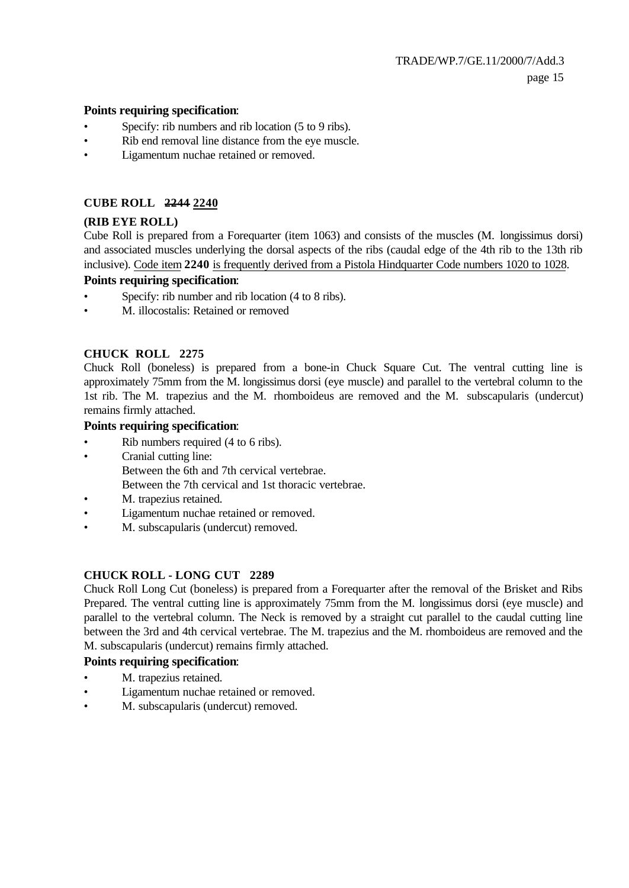#### **Points requiring specification**:

- Specify: rib numbers and rib location (5 to 9 ribs).
- Rib end removal line distance from the eye muscle.
- Ligamentum nuchae retained or removed.

## **CUBE ROLL 2244 2240**

# **(RIB EYE ROLL)**

Cube Roll is prepared from a Forequarter (item 1063) and consists of the muscles (M. longissimus dorsi) and associated muscles underlying the dorsal aspects of the ribs (caudal edge of the 4th rib to the 13th rib inclusive). Code item **2240** is frequently derived from a Pistola Hindquarter Code numbers 1020 to 1028.

## **Points requiring specification**:

- Specify: rib number and rib location (4 to 8 ribs).
- M. illocostalis: Retained or removed

# **CHUCK ROLL 2275**

Chuck Roll (boneless) is prepared from a bone-in Chuck Square Cut. The ventral cutting line is approximately 75mm from the M. longissimus dorsi (eye muscle) and parallel to the vertebral column to the 1st rib. The M. trapezius and the M. rhomboideus are removed and the M. subscapularis (undercut) remains firmly attached.

## **Points requiring specification**:

- Rib numbers required (4 to 6 ribs).
- Cranial cutting line:
	- Between the 6th and 7th cervical vertebrae.
	- Between the 7th cervical and 1st thoracic vertebrae.
- M. trapezius retained.
- Ligamentum nuchae retained or removed.
- M. subscapularis (undercut) removed.

# **CHUCK ROLL - LONG CUT 2289**

Chuck Roll Long Cut (boneless) is prepared from a Forequarter after the removal of the Brisket and Ribs Prepared. The ventral cutting line is approximately 75mm from the M. longissimus dorsi (eye muscle) and parallel to the vertebral column. The Neck is removed by a straight cut parallel to the caudal cutting line between the 3rd and 4th cervical vertebrae. The M. trapezius and the M. rhomboideus are removed and the M. subscapularis (undercut) remains firmly attached.

## **Points requiring specification**:

- M. trapezius retained.
- Ligamentum nuchae retained or removed.
- M. subscapularis (undercut) removed.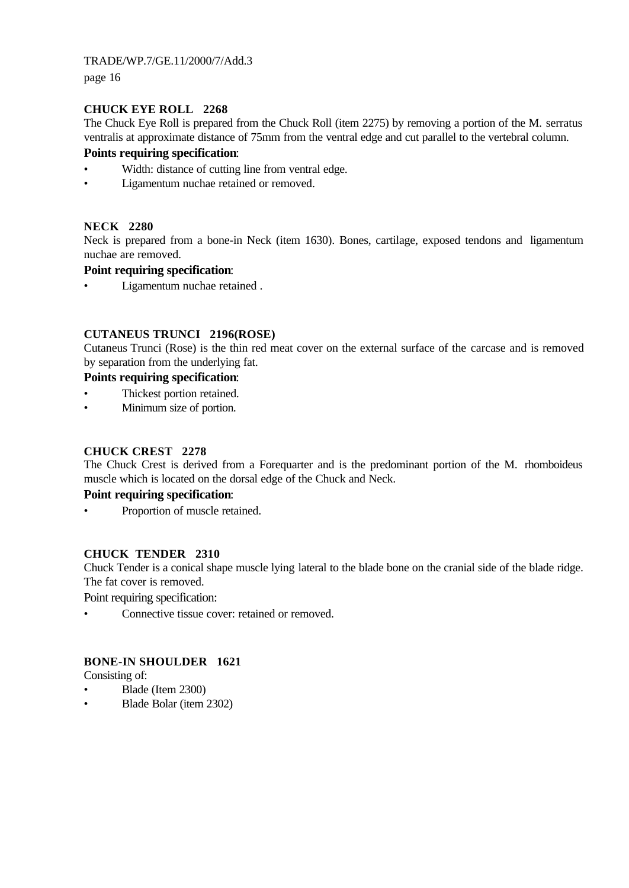page 16

# **CHUCK EYE ROLL 2268**

The Chuck Eye Roll is prepared from the Chuck Roll (item 2275) by removing a portion of the M. serratus ventralis at approximate distance of 75mm from the ventral edge and cut parallel to the vertebral column.

## **Points requiring specification**:

- Width: distance of cutting line from ventral edge.
- Ligamentum nuchae retained or removed.

# **NECK 2280**

Neck is prepared from a bone-in Neck (item 1630). Bones, cartilage, exposed tendons and ligamentum nuchae are removed.

# **Point requiring specification**:

• Ligamentum nuchae retained .

# **CUTANEUS TRUNCI 2196(ROSE)**

Cutaneus Trunci (Rose) is the thin red meat cover on the external surface of the carcase and is removed by separation from the underlying fat.

## **Points requiring specification**:

- Thickest portion retained.
- Minimum size of portion.

# **CHUCK CREST 2278**

The Chuck Crest is derived from a Forequarter and is the predominant portion of the M. rhomboideus muscle which is located on the dorsal edge of the Chuck and Neck.

## **Point requiring specification**:

Proportion of muscle retained.

## **CHUCK TENDER 2310**

Chuck Tender is a conical shape muscle lying lateral to the blade bone on the cranial side of the blade ridge. The fat cover is removed.

Point requiring specification:

• Connective tissue cover: retained or removed.

## **BONE-IN SHOULDER 1621**

Consisting of:

- Blade (Item 2300)
- Blade Bolar (item 2302)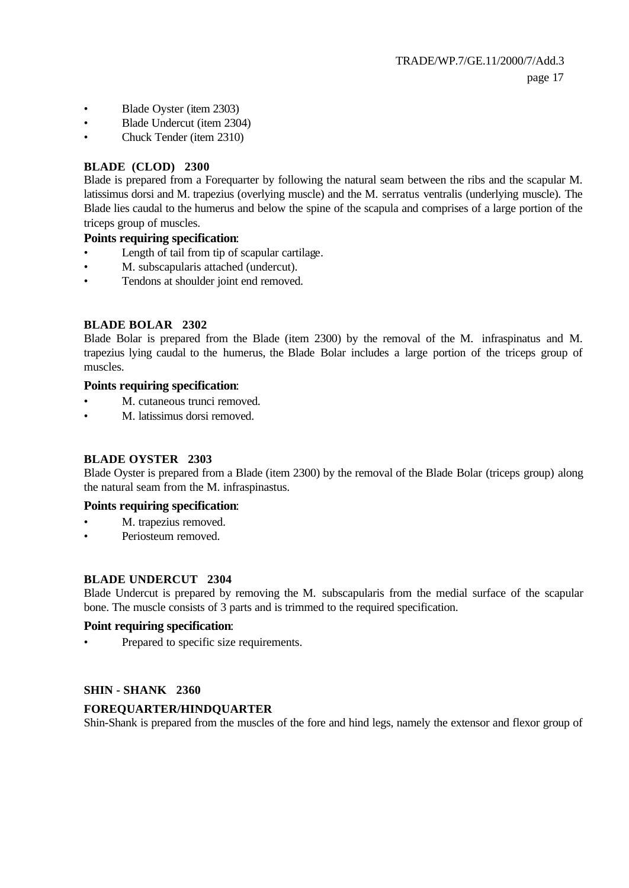- Blade Oyster (item 2303)
- Blade Undercut (item 2304)
- Chuck Tender (item 2310)

#### **BLADE (CLOD) 2300**

Blade is prepared from a Forequarter by following the natural seam between the ribs and the scapular M. latissimus dorsi and M. trapezius (overlying muscle) and the M. serratus ventralis (underlying muscle). The Blade lies caudal to the humerus and below the spine of the scapula and comprises of a large portion of the triceps group of muscles.

#### **Points requiring specification**:

- Length of tail from tip of scapular cartilage.
- M. subscapularis attached (undercut).
- Tendons at shoulder joint end removed.

#### **BLADE BOLAR 2302**

Blade Bolar is prepared from the Blade (item 2300) by the removal of the M. infraspinatus and M. trapezius lying caudal to the humerus, the Blade Bolar includes a large portion of the triceps group of muscles.

#### **Points requiring specification**:

- M. cutaneous trunci removed.
- M. latissimus dorsi removed.

#### **BLADE OYSTER 2303**

Blade Oyster is prepared from a Blade (item 2300) by the removal of the Blade Bolar (triceps group) along the natural seam from the M. infraspinastus.

#### **Points requiring specification**:

- M. trapezius removed.
- Periosteum removed.

#### **BLADE UNDERCUT 2304**

Blade Undercut is prepared by removing the M. subscapularis from the medial surface of the scapular bone. The muscle consists of 3 parts and is trimmed to the required specification.

#### **Point requiring specification**:

• Prepared to specific size requirements.

#### **SHIN - SHANK 2360**

## **FOREQUARTER/HINDQUARTER**

Shin-Shank is prepared from the muscles of the fore and hind legs, namely the extensor and flexor group of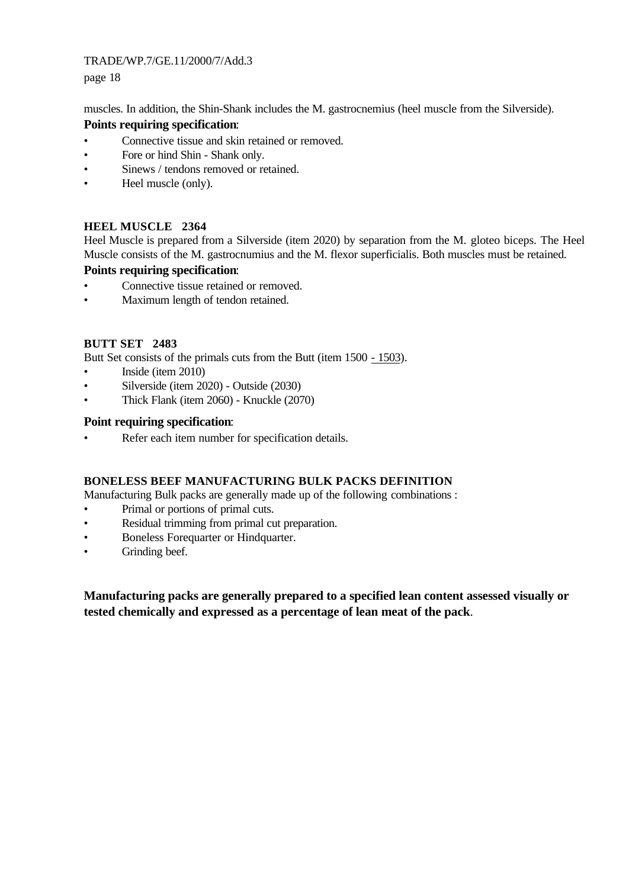page 18

muscles. In addition, the Shin-Shank includes the M. gastrocnemius (heel muscle from the Silverside). **Points requiring specification**:

- Connective tissue and skin retained or removed.
- Fore or hind Shin Shank only.
- Sinews / tendons removed or retained.
- Heel muscle (only).

## **HEEL MUSCLE 2364**

Heel Muscle is prepared from a Silverside (item 2020) by separation from the M. gloteo biceps. The Heel Muscle consists of the M. gastrocnumius and the M. flexor superficialis. Both muscles must be retained.

## **Points requiring specification**:

- Connective tissue retained or removed.
- Maximum length of tendon retained.

## **BUTT SET 2483**

Butt Set consists of the primals cuts from the Butt (item 1500 - 1503).

- Inside (item 2010)
- Silverside (item 2020) Outside (2030)
- Thick Flank (item 2060) Knuckle (2070)

#### **Point requiring specification**:

Refer each item number for specification details.

## **BONELESS BEEF MANUFACTURING BULK PACKS DEFINITION**

Manufacturing Bulk packs are generally made up of the following combinations :

- Primal or portions of primal cuts.
- Residual trimming from primal cut preparation.
- Boneless Forequarter or Hindquarter.
- Grinding beef.

**Manufacturing packs are generally prepared to a specified lean content assessed visually or tested chemically and expressed as a percentage of lean meat of the pack**.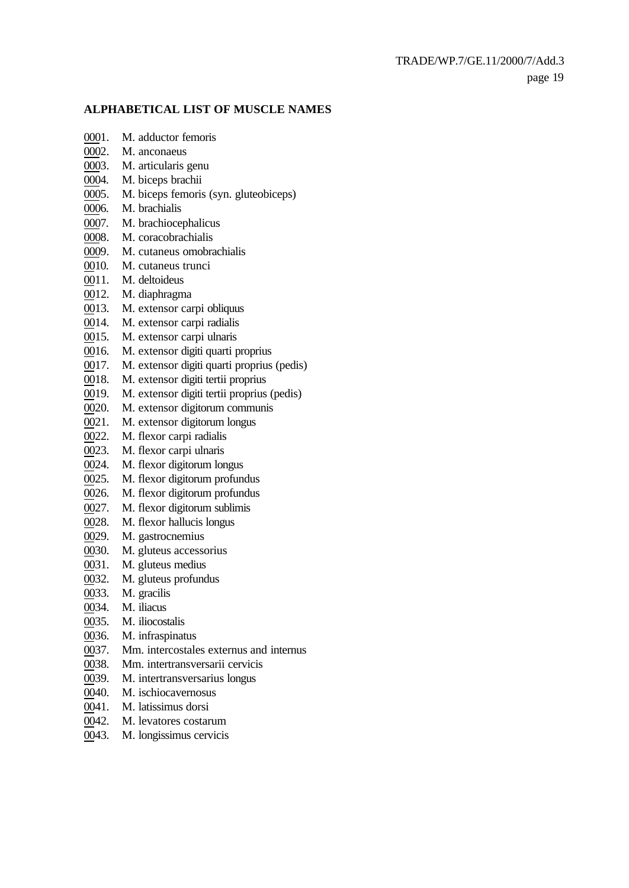#### **ALPHABETICAL LIST OF MUSCLE NAMES**

- 0001. M. adductor femoris
- 0002. M. anconaeus
- 0003. M. articularis genu
- 0004. M. biceps brachii
- 0005. M. biceps femoris (syn. gluteobiceps)
- 0006. M. brachialis
- 0007. M. brachiocephalicus
- 0008. M. coracobrachialis
- 0009. M. cutaneus omobrachialis
- 0010. M. cutaneus trunci
- 0011. M. deltoideus
- 0012. M. diaphragma
- 0013. M. extensor carpi obliquus
- 0014. M. extensor carpi radialis
- 0015. M. extensor carpi ulnaris
- 0016. M. extensor digiti quarti proprius
- 0017. M. extensor digiti quarti proprius (pedis)
- 0018. M. extensor digiti tertii proprius
- 0019. M. extensor digiti tertii proprius (pedis)
- 0020. M. extensor digitorum communis
- 0021. M. extensor digitorum longus
- 0022. M. flexor carpi radialis
- 0023. M. flexor carpi ulnaris
- 0024. M. flexor digitorum longus
- 0025. M. flexor digitorum profundus
- 0026. M. flexor digitorum profundus
- 0027. M. flexor digitorum sublimis
- 0028. M. flexor hallucis longus
- 0029. M. gastrocnemius
- 0030. M. gluteus accessorius
- 0031. M. gluteus medius
- 0032. M. gluteus profundus
- 0033. M. gracilis
- 0034. M. iliacus
- 0035. M. iliocostalis
- 0036. M. infraspinatus
- 0037. Mm. intercostales externus and internus
- 0038. Mm. intertransversarii cervicis
- 0039. M. intertransversarius longus
- 0040. M. ischiocavernosus
- 0041. M. latissimus dorsi
- 0042. M. levatores costarum
- 0043. M. longissimus cervicis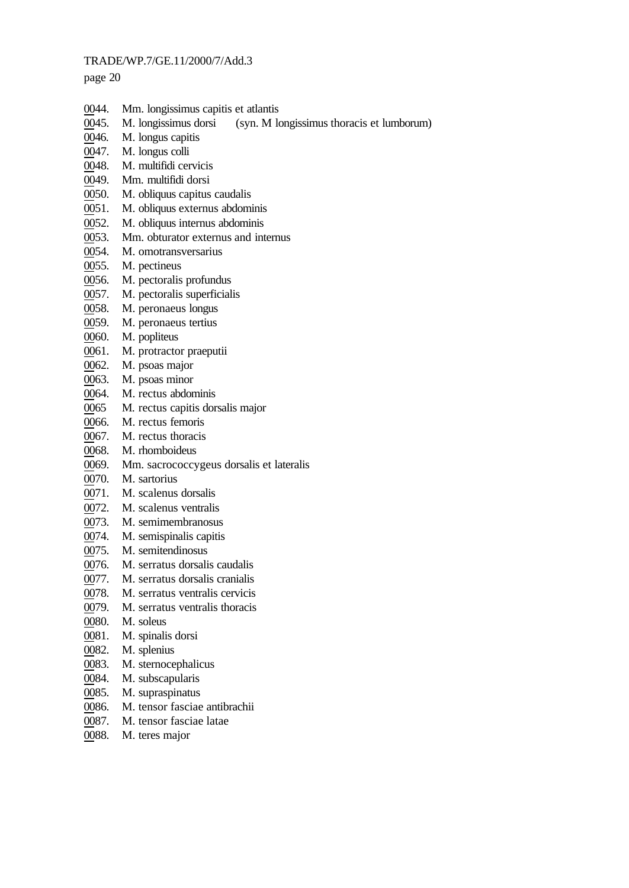page 20

- 0044. Mm. longissimus capitis et atlantis
- 0045. M. longissimus dorsi (syn. M longissimus thoracis et lumborum)
- 0046. M. longus capitis
- 0047. M. longus colli
- 0048. M. multifidi cervicis
- 0049. Mm. multifidi dorsi
- 0050. M. obliquus capitus caudalis
- 0051. M. obliquus externus abdominis
- 0052. M. obliquus internus abdominis
- 0053. Mm. obturator externus and internus
- 0054. M. omotransversarius
- 0055. M. pectineus
- 0056. M. pectoralis profundus
- 0057. M. pectoralis superficialis
- 0058. M. peronaeus longus
- 0059. M. peronaeus tertius
- 0060. M. popliteus
- 0061. M. protractor praeputii
- 0062. M. psoas major
- 0063. M. psoas minor
- 0064. M. rectus abdominis
- 0065 M. rectus capitis dorsalis major
- 0066. M. rectus femoris
- 0067. M. rectus thoracis
- 0068. M. rhomboideus
- 0069. Mm. sacrococcygeus dorsalis et lateralis
- 0070. M. sartorius
- 0071. M. scalenus dorsalis
- 0072. M. scalenus ventralis
- 0073. M. semimembranosus
- 0074. M. semispinalis capitis
- 0075. M. semitendinosus
- 0076. M. serratus dorsalis caudalis
- 0077. M. serratus dorsalis cranialis
- 0078. M. serratus ventralis cervicis
- 0079. M. serratus ventralis thoracis
- 0080. M. soleus
- 0081. M. spinalis dorsi
- 0082. M. splenius
- 0083. M. sternocephalicus
- 0084. M. subscapularis
- 0085. M. supraspinatus
- 0086. M. tensor fasciae antibrachii
- 0087. M. tensor fasciae latae
- 0088. M. teres major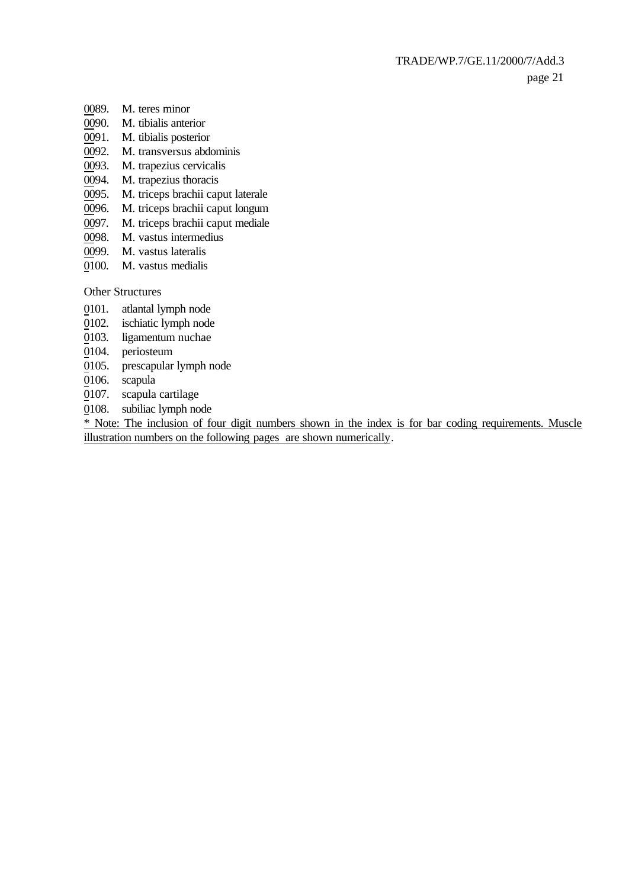- 0089. M. teres minor
- 0090. M. tibialis anterior
- 0091. M. tibialis posterior
- 0092. M. transversus abdominis
- 0093. M. trapezius cervicalis
- 0094. M. trapezius thoracis
- 0095. M. triceps brachii caput laterale
- 0096. M. triceps brachii caput longum
- 0097. M. triceps brachii caput mediale
- 0098. M. vastus intermedius
- 0099. M. vastus lateralis
- 0100. M. vastus medialis

Other Structures

- 0101. atlantal lymph node
- 0102. ischiatic lymph node
- 0103. ligamentum nuchae
- 0104. periosteum
- 0105. prescapular lymph node
- 0106. scapula
- 0107. scapula cartilage
- 0108. subiliac lymph node

\* Note: The inclusion of four digit numbers shown in the index is for bar coding requirements. Muscle illustration numbers on the following pages are shown numerically.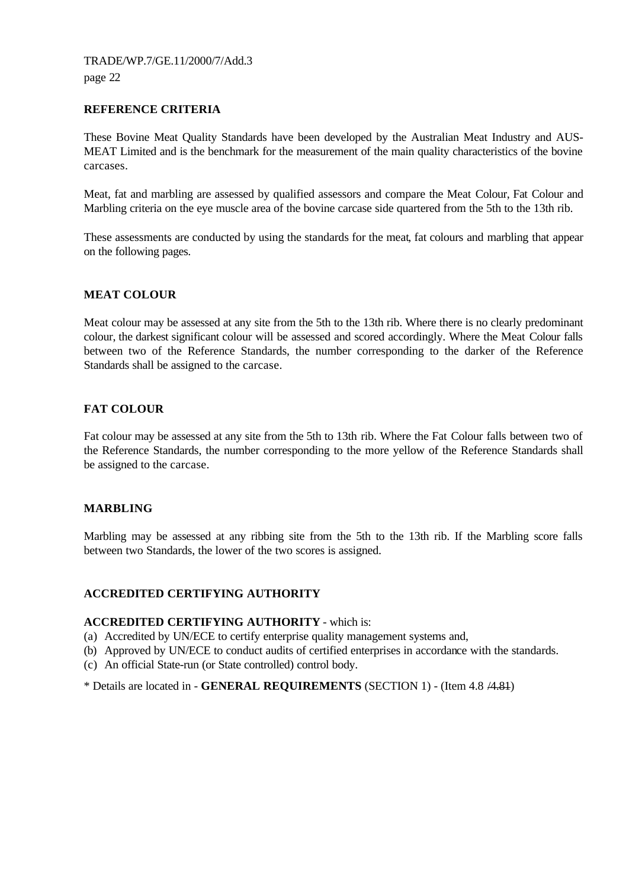#### **REFERENCE CRITERIA**

These Bovine Meat Quality Standards have been developed by the Australian Meat Industry and AUS-MEAT Limited and is the benchmark for the measurement of the main quality characteristics of the bovine carcases.

Meat, fat and marbling are assessed by qualified assessors and compare the Meat Colour, Fat Colour and Marbling criteria on the eye muscle area of the bovine carcase side quartered from the 5th to the 13th rib.

These assessments are conducted by using the standards for the meat, fat colours and marbling that appear on the following pages.

#### **MEAT COLOUR**

Meat colour may be assessed at any site from the 5th to the 13th rib. Where there is no clearly predominant colour, the darkest significant colour will be assessed and scored accordingly. Where the Meat Colour falls between two of the Reference Standards, the number corresponding to the darker of the Reference Standards shall be assigned to the carcase.

#### **FAT COLOUR**

Fat colour may be assessed at any site from the 5th to 13th rib. Where the Fat Colour falls between two of the Reference Standards, the number corresponding to the more yellow of the Reference Standards shall be assigned to the carcase.

#### **MARBLING**

Marbling may be assessed at any ribbing site from the 5th to the 13th rib. If the Marbling score falls between two Standards, the lower of the two scores is assigned.

#### **ACCREDITED CERTIFYING AUTHORITY**

#### **ACCREDITED CERTIFYING AUTHORITY** - which is:

- (a) Accredited by UN/ECE to certify enterprise quality management systems and,
- (b) Approved by UN/ECE to conduct audits of certified enterprises in accordance with the standards.
- (c) An official State-run (or State controlled) control body.

\* Details are located in - **GENERAL REQUIREMENTS** (SECTION 1) - (Item 4.8 /4.81)